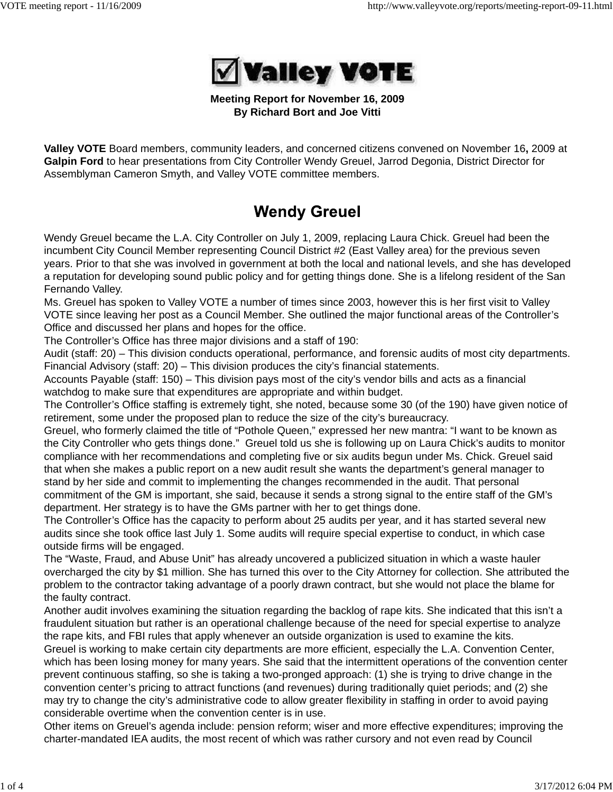

## **Meeting Report for November 16, 2009 By Richard Bort and Joe Vitti**

**Valley VOTE** Board members, community leaders, and concerned citizens convened on November 16**,** 2009 at **Galpin Ford** to hear presentations from City Controller Wendy Greuel, Jarrod Degonia, District Director for Assemblyman Cameron Smyth, and Valley VOTE committee members.

# **Wendy Greuel**

Wendy Greuel became the L.A. City Controller on July 1, 2009, replacing Laura Chick. Greuel had been the incumbent City Council Member representing Council District #2 (East Valley area) for the previous seven years. Prior to that she was involved in government at both the local and national levels, and she has developed a reputation for developing sound public policy and for getting things done. She is a lifelong resident of the San Fernando Valley.

Ms. Greuel has spoken to Valley VOTE a number of times since 2003, however this is her first visit to Valley VOTE since leaving her post as a Council Member. She outlined the major functional areas of the Controller's Office and discussed her plans and hopes for the office.

The Controller's Office has three major divisions and a staff of 190:

Audit (staff: 20) – This division conducts operational, performance, and forensic audits of most city departments. Financial Advisory (staff: 20) – This division produces the city's financial statements.

Accounts Payable (staff: 150) – This division pays most of the city's vendor bills and acts as a financial watchdog to make sure that expenditures are appropriate and within budget.

The Controller's Office staffing is extremely tight, she noted, because some 30 (of the 190) have given notice of retirement, some under the proposed plan to reduce the size of the city's bureaucracy.

Greuel, who formerly claimed the title of "Pothole Queen," expressed her new mantra: "I want to be known as the City Controller who gets things done." Greuel told us she is following up on Laura Chick's audits to monitor compliance with her recommendations and completing five or six audits begun under Ms. Chick. Greuel said that when she makes a public report on a new audit result she wants the department's general manager to stand by her side and commit to implementing the changes recommended in the audit. That personal commitment of the GM is important, she said, because it sends a strong signal to the entire staff of the GM's department. Her strategy is to have the GMs partner with her to get things done.

The Controller's Office has the capacity to perform about 25 audits per year, and it has started several new audits since she took office last July 1. Some audits will require special expertise to conduct, in which case outside firms will be engaged.

The "Waste, Fraud, and Abuse Unit" has already uncovered a publicized situation in which a waste hauler overcharged the city by \$1 million. She has turned this over to the City Attorney for collection. She attributed the problem to the contractor taking advantage of a poorly drawn contract, but she would not place the blame for the faulty contract.

Another audit involves examining the situation regarding the backlog of rape kits. She indicated that this isn't a fraudulent situation but rather is an operational challenge because of the need for special expertise to analyze the rape kits, and FBI rules that apply whenever an outside organization is used to examine the kits.

Greuel is working to make certain city departments are more efficient, especially the L.A. Convention Center, which has been losing money for many years. She said that the intermittent operations of the convention center prevent continuous staffing, so she is taking a two-pronged approach: (1) she is trying to drive change in the convention center's pricing to attract functions (and revenues) during traditionally quiet periods; and (2) she may try to change the city's administrative code to allow greater flexibility in staffing in order to avoid paying considerable overtime when the convention center is in use.

Other items on Greuel's agenda include: pension reform; wiser and more effective expenditures; improving the charter-mandated IEA audits, the most recent of which was rather cursory and not even read by Council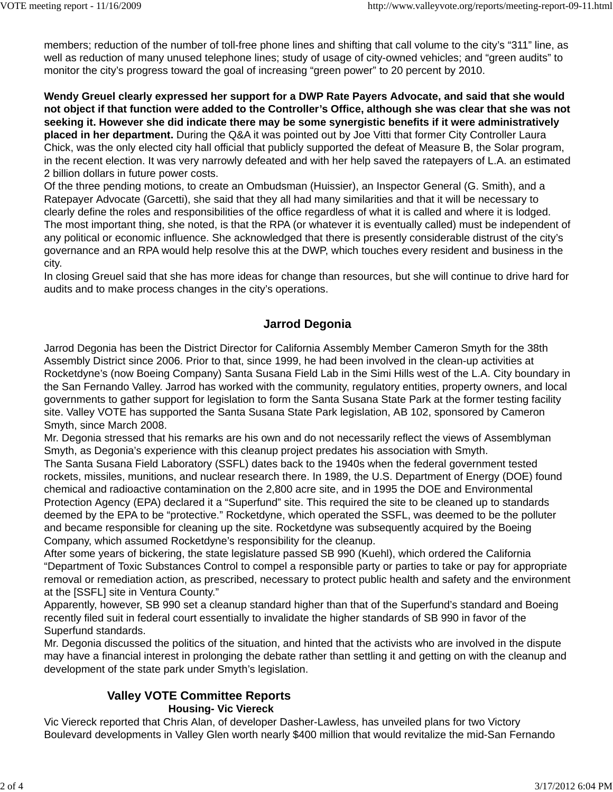members; reduction of the number of toll-free phone lines and shifting that call volume to the city's "311" line, as well as reduction of many unused telephone lines; study of usage of city-owned vehicles; and "green audits" to monitor the city's progress toward the goal of increasing "green power" to 20 percent by 2010.

**Wendy Greuel clearly expressed her support for a DWP Rate Payers Advocate, and said that she would not object if that function were added to the Controller's Office, although she was clear that she was not seeking it. However she did indicate there may be some synergistic benefits if it were administratively placed in her department.** During the Q&A it was pointed out by Joe Vitti that former City Controller Laura Chick, was the only elected city hall official that publicly supported the defeat of Measure B, the Solar program, in the recent election. It was very narrowly defeated and with her help saved the ratepayers of L.A. an estimated 2 billion dollars in future power costs.

Of the three pending motions, to create an Ombudsman (Huissier), an Inspector General (G. Smith), and a Ratepayer Advocate (Garcetti), she said that they all had many similarities and that it will be necessary to clearly define the roles and responsibilities of the office regardless of what it is called and where it is lodged. The most important thing, she noted, is that the RPA (or whatever it is eventually called) must be independent of any political or economic influence. She acknowledged that there is presently considerable distrust of the city's governance and an RPA would help resolve this at the DWP, which touches every resident and business in the city.

In closing Greuel said that she has more ideas for change than resources, but she will continue to drive hard for audits and to make process changes in the city's operations.

# **Jarrod Degonia**

Jarrod Degonia has been the District Director for California Assembly Member Cameron Smyth for the 38th Assembly District since 2006. Prior to that, since 1999, he had been involved in the clean-up activities at Rocketdyne's (now Boeing Company) Santa Susana Field Lab in the Simi Hills west of the L.A. City boundary in the San Fernando Valley. Jarrod has worked with the community, regulatory entities, property owners, and local governments to gather support for legislation to form the Santa Susana State Park at the former testing facility site. Valley VOTE has supported the Santa Susana State Park legislation, AB 102, sponsored by Cameron Smyth, since March 2008.

Mr. Degonia stressed that his remarks are his own and do not necessarily reflect the views of Assemblyman Smyth, as Degonia's experience with this cleanup project predates his association with Smyth.

The Santa Susana Field Laboratory (SSFL) dates back to the 1940s when the federal government tested rockets, missiles, munitions, and nuclear research there. In 1989, the U.S. Department of Energy (DOE) found chemical and radioactive contamination on the 2,800 acre site, and in 1995 the DOE and Environmental Protection Agency (EPA) declared it a "Superfund" site. This required the site to be cleaned up to standards deemed by the EPA to be "protective." Rocketdyne, which operated the SSFL, was deemed to be the polluter and became responsible for cleaning up the site. Rocketdyne was subsequently acquired by the Boeing Company, which assumed Rocketdyne's responsibility for the cleanup.

After some years of bickering, the state legislature passed SB 990 (Kuehl), which ordered the California "Department of Toxic Substances Control to compel a responsible party or parties to take or pay for appropriate removal or remediation action, as prescribed, necessary to protect public health and safety and the environment at the [SSFL] site in Ventura County."

Apparently, however, SB 990 set a cleanup standard higher than that of the Superfund's standard and Boeing recently filed suit in federal court essentially to invalidate the higher standards of SB 990 in favor of the Superfund standards.

Mr. Degonia discussed the politics of the situation, and hinted that the activists who are involved in the dispute may have a financial interest in prolonging the debate rather than settling it and getting on with the cleanup and development of the state park under Smyth's legislation.

# **Valley VOTE Committee Reports Housing- Vic Viereck**

Vic Viereck reported that Chris Alan, of developer Dasher-Lawless, has unveiled plans for two Victory Boulevard developments in Valley Glen worth nearly \$400 million that would revitalize the mid-San Fernando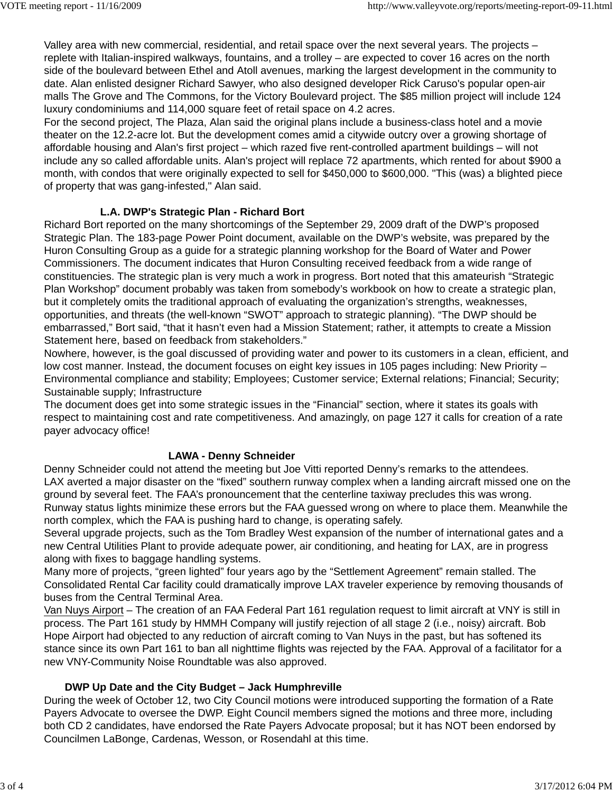Valley area with new commercial, residential, and retail space over the next several years. The projects – replete with Italian-inspired walkways, fountains, and a trolley – are expected to cover 16 acres on the north side of the boulevard between Ethel and Atoll avenues, marking the largest development in the community to date. Alan enlisted designer Richard Sawyer, who also designed developer Rick Caruso's popular open-air malls The Grove and The Commons, for the Victory Boulevard project. The \$85 million project will include 124 luxury condominiums and 114,000 square feet of retail space on 4.2 acres.

For the second project, The Plaza, Alan said the original plans include a business-class hotel and a movie theater on the 12.2-acre lot. But the development comes amid a citywide outcry over a growing shortage of affordable housing and Alan's first project – which razed five rent-controlled apartment buildings – will not include any so called affordable units. Alan's project will replace 72 apartments, which rented for about \$900 a month, with condos that were originally expected to sell for \$450,000 to \$600,000. "This (was) a blighted piece of property that was gang-infested," Alan said.

# **L.A. DWP's Strategic Plan - Richard Bort**

Richard Bort reported on the many shortcomings of the September 29, 2009 draft of the DWP's proposed Strategic Plan. The 183-page Power Point document, available on the DWP's website, was prepared by the Huron Consulting Group as a guide for a strategic planning workshop for the Board of Water and Power Commissioners. The document indicates that Huron Consulting received feedback from a wide range of constituencies. The strategic plan is very much a work in progress. Bort noted that this amateurish "Strategic Plan Workshop" document probably was taken from somebody's workbook on how to create a strategic plan, but it completely omits the traditional approach of evaluating the organization's strengths, weaknesses, opportunities, and threats (the well-known "SWOT" approach to strategic planning). "The DWP should be embarrassed," Bort said, "that it hasn't even had a Mission Statement; rather, it attempts to create a Mission Statement here, based on feedback from stakeholders."

Nowhere, however, is the goal discussed of providing water and power to its customers in a clean, efficient, and low cost manner. Instead, the document focuses on eight key issues in 105 pages including: New Priority – Environmental compliance and stability; Employees; Customer service; External relations; Financial; Security; Sustainable supply; Infrastructure

The document does get into some strategic issues in the "Financial" section, where it states its goals with respect to maintaining cost and rate competitiveness. And amazingly, on page 127 it calls for creation of a rate payer advocacy office!

# **LAWA - Denny Schneider**

Denny Schneider could not attend the meeting but Joe Vitti reported Denny's remarks to the attendees. LAX averted a major disaster on the "fixed" southern runway complex when a landing aircraft missed one on the ground by several feet. The FAA's pronouncement that the centerline taxiway precludes this was wrong. Runway status lights minimize these errors but the FAA guessed wrong on where to place them. Meanwhile the north complex, which the FAA is pushing hard to change, is operating safely.

Several upgrade projects, such as the Tom Bradley West expansion of the number of international gates and a new Central Utilities Plant to provide adequate power, air conditioning, and heating for LAX, are in progress along with fixes to baggage handling systems.

Many more of projects, "green lighted" four years ago by the "Settlement Agreement" remain stalled. The Consolidated Rental Car facility could dramatically improve LAX traveler experience by removing thousands of buses from the Central Terminal Area.

Van Nuys Airport – The creation of an FAA Federal Part 161 regulation request to limit aircraft at VNY is still in process. The Part 161 study by HMMH Company will justify rejection of all stage 2 (i.e., noisy) aircraft. Bob Hope Airport had objected to any reduction of aircraft coming to Van Nuys in the past, but has softened its stance since its own Part 161 to ban all nighttime flights was rejected by the FAA. Approval of a facilitator for a new VNY-Community Noise Roundtable was also approved.

## **DWP Up Date and the City Budget – Jack Humphreville**

During the week of October 12, two City Council motions were introduced supporting the formation of a Rate Payers Advocate to oversee the DWP. Eight Council members signed the motions and three more, including both CD 2 candidates, have endorsed the Rate Payers Advocate proposal; but it has NOT been endorsed by Councilmen LaBonge, Cardenas, Wesson, or Rosendahl at this time.